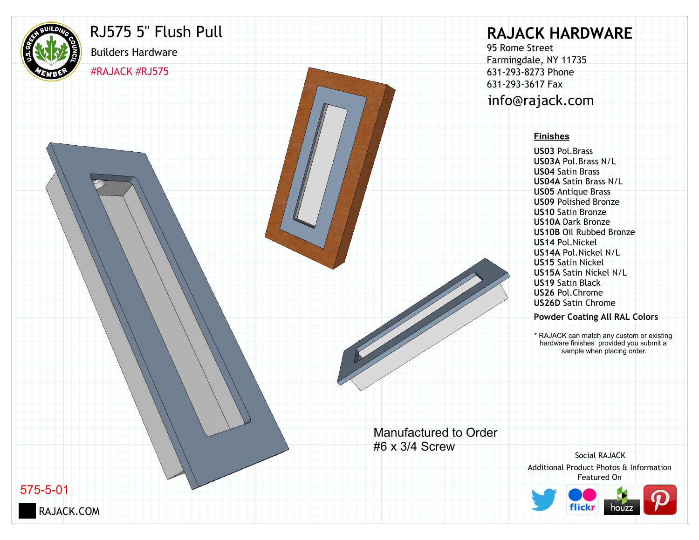

## RJ575 5" Flush Pull

#RAJACK #RJ575

Builders Hardware

# **RAJACK HARDWARE**

95 Rome Street Farmingdale, NY 11735 631-293-8273 Phone 631-293-3617 Fax info@rajack.com

#### **Finishes**

**US03** Pol.Brass **US03A** Pol.Brass N/L **US04** Satin Brass **US04A** Satin Brass N/L **US05** Antique Brass **US09** Polished Bronze **US10** Satin Bronze **US10A** Dark Bronze **US10B** Oil Rubbed Bronze **US14** Pol.Nickel **US14A** Pol.Nickel N/L **US15** Satin Nickel **US15A** Satin Nickel N/L **US19** Satin Black **US26** Pol.Chrome **US26D** Satin Chrome

#### **Powder Coating All RAL Colors**

\* RAJACK can match any custom or existing hardware finishes provided you submit a sample when placing order.

Manufactured to Order #6 x 3/4 Screw

Additional Product Photos & Information Featured On Social RAJACK



575-5-01

RAJACK.COM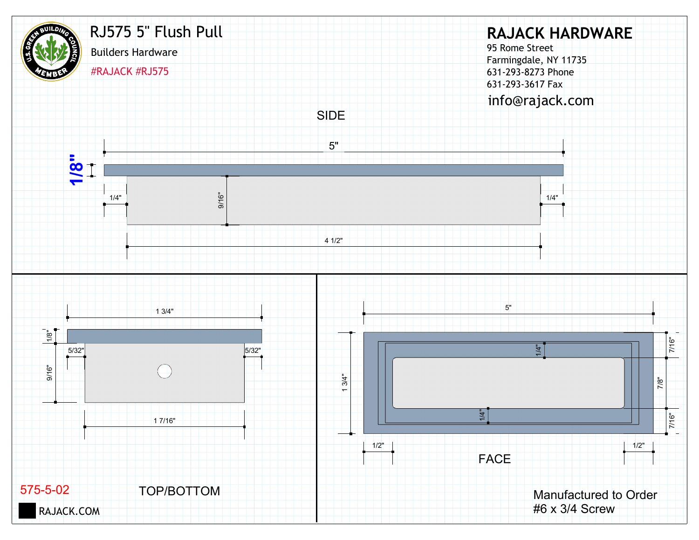